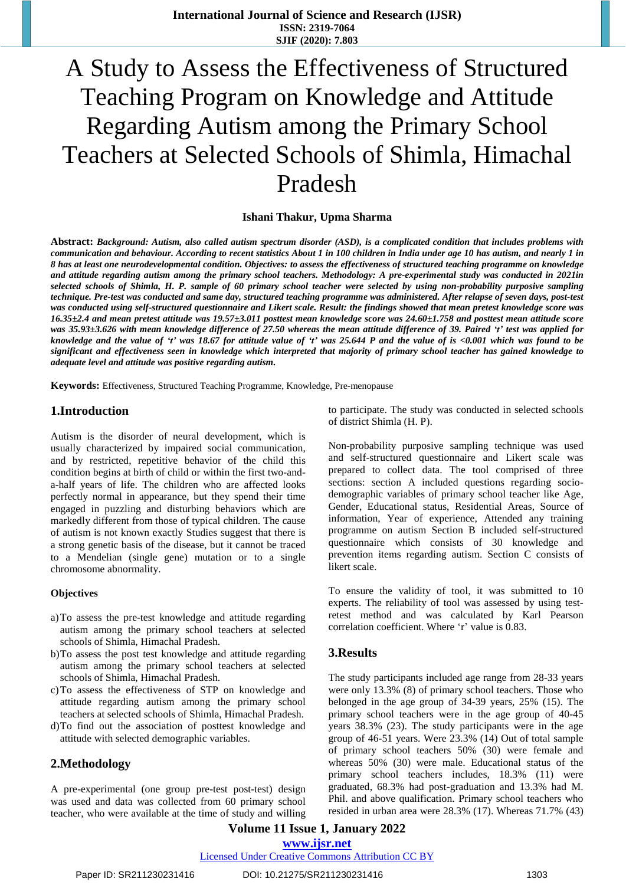# A Study to Assess the Effectiveness of Structured Teaching Program on Knowledge and Attitude Regarding Autism among the Primary School Teachers at Selected Schools of Shimla, Himachal Pradesh

#### **Ishani Thakur, Upma Sharma**

Abstract: Background: [Autism,](https://www.webmd.com/brain/autism/) also called autism [spectrum](https://www.webmd.com/brain/autism/autism-spectrum-disorders) disorder (ASD), is a complicated condition that includes problems with communication and behaviour. According to recent statistics About 1 in 100 children in India under age 10 has autism, and nearly 1 in 8 has at least one neurodevelopmental condition. Objectives: to assess the effectiveness of structured teaching programme on knowledge and attitude regarding autism among the primary school teachers. Methodology: A pre-experimental study was conducted in 2021in selected schools of Shimla, H. P. sample of 60 primary school teacher were selected by using non-probability purposive sampling technique. Pre-test was conducted and same day, structured teaching programme was administered. After relapse of seven days, post-test was conducted using self-structured questionnaire and Likert scale. Result: the findings showed that mean pretest knowledge score was  $16.35\pm2.4$  and mean pretest attitude was 19.57 $\pm 3.011$  posttest mean knowledge score was 24.60 $\pm 1.758$  and posttest mean attitude score was 35.93±3.626 with mean knowledge difference of 27.50 whereas the mean attitude difference of 39. Paired 't' test was applied for knowledge and the value of 't' was 18.67 for attitude value of 't' was 25.644 P and the value of is <0.001 which was found to be significant and effectiveness seen in knowledge which interpreted that majority of primary school teacher has gained knowledge to *adequate level and attitude was positive regarding autism.*

**Keywords:** Effectiveness, Structured Teaching Programme, Knowledge, Pre-menopause

## **1.Introduction**

Autism is the disorder of neural development, which is usually characterized by impaired social communication, and by restricted, repetitive behavior of the child this condition begins at birth of child or within the first two-anda-half years of life. The children who are affected looks perfectly normal in appearance, but they spend their time engaged in puzzling and disturbing behaviors which are markedly different from those of typical children. The cause of autism is not known exactly Studies suggest that there is a strong genetic basis of the disease, but it cannot be traced to a Mendelian (single gene) mutation or to a single chromosome abnormality.

#### **Objectives**

- a)To assess the pre-test knowledge and attitude regarding autism among the primary school teachers at selected schools of Shimla, Himachal Pradesh.
- b)To assess the post test knowledge and attitude regarding autism among the primary school teachers at selected schools of Shimla, Himachal Pradesh.
- c)To assess the effectiveness of STP on knowledge and attitude regarding autism among the primary school teachers at selected schools of Shimla, Himachal Pradesh.
- d)To find out the association of posttest knowledge and attitude with selected demographic variables.

#### **2.Methodology**

A pre-experimental (one group pre-test post-test) design was used and data was collected from 60 primary school teacher, who were available at the time of study and willing to participate. The study was conducted in selected schools of district Shimla (H. P).

Non-probability purposive sampling technique was used and self-structured questionnaire and Likert scale was prepared to collect data. The tool comprised of three sections: section A included questions regarding sociodemographic variables of primary school teacher like Age, Gender, Educational status, Residential Areas, Source of information, Year of experience, Attended any training programme on autism Section B included self-structured questionnaire which consists of 30 knowledge and prevention items regarding autism. Section C consists of likert scale.

To ensure the validity of tool, it was submitted to 10 experts. The reliability of tool was assessed by using testretest method and was calculated by Karl Pearson correlation coefficient. Where 'r' value is 0.83.

#### **3.Results**

The study participants included age range from 28-33 years were only 13.3% (8) of primary school teachers. Those who belonged in the age group of 34-39 years, 25% (15). The primary school teachers were in the age group of 40-45 years 38.3% (23). The study participants were in the age group of 46-51 years. Were 23.3% (14) Out of total sample of primary school teachers 50% (30) were female and whereas 50% (30) were male. Educational status of the primary school teachers includes, 18.3% (11) were graduated, 68.3% had post-graduation and 13.3% had M. Phil. and above qualification. Primary school teachers who resided in urban area were 28.3% (17). Whereas 71.7% (43)

**Volume 11 Issue 1, January 2022 www.ijsr.net**

#### Licensed Under Creative Commons Attribution CC BY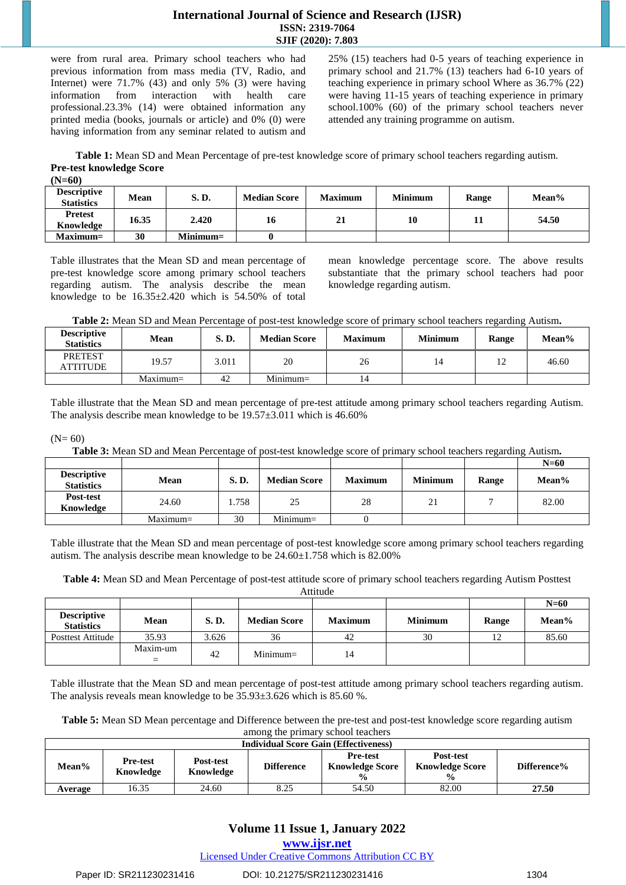# **International Journal of Science and Research (IJSR) ISSN: 2319-7064 SJIF (2020): 7.803**

were from rural area. Primary school teachers who had previous information from mass media (TV, Radio, and Internet) were 71.7% (43) and only 5% (3) were having information from interaction with health care professional.23.3% (14) were obtained information any printed media (books, journals or article) and 0% (0) were having information from any seminar related to autism and

25% (15) teachers had 0-5 years of teaching experience in primary school and 21.7% (13) teachers had 6-10 years of teaching experience in primary school Where as 36.7% (22) were having 11-15 years of teaching experience in primary school.100% (60) of the primary school teachers never attended any training programme on autism.

**Table 1:** Mean SD and Mean Percentage of pre-test knowledge score of primary school teachers regarding autism. **Pre-test knowledge Score**

**(N=60)** 

| <b>Descriptive</b><br><b>Statistics</b> | Mean  | <b>S.D.</b> | <b>Median Score</b> | <b>Maximum</b> | <b>Minimum</b> | Range | Mean% |
|-----------------------------------------|-------|-------------|---------------------|----------------|----------------|-------|-------|
| <b>Pretest</b><br>Knowledge             | 16.35 | 2.420       | 16                  | 21             | 10             |       | 54.50 |
| $Maximum =$                             | 30    | $Minimum=$  |                     |                |                |       |       |

Table illustrates that the Mean SD and mean percentage of pre-test knowledge score among primary school teachers regarding autism. The analysis describe the mean knowledge to be  $16.35\pm2.420$  which is  $54.50\%$  of total mean knowledge percentage score. The above results substantiate that the primary school teachers had poor knowledge regarding autism.

**Table 2:** Mean SD and Mean Percentage of post-test knowledge score of primary school teachers regarding Autism**.**

| <b>Descriptive</b><br><b>Statistics</b> | Mean        | S.D.  | <b>Median Score</b> | <b>Maximum</b> | <b>Minimum</b> | Range     | Mean% |
|-----------------------------------------|-------------|-------|---------------------|----------------|----------------|-----------|-------|
| <b>PRETEST</b><br>ATTITUDE              | 19.57       | 3.011 | 20                  | 26             | 14             | ר ו<br>⊥∠ | 46.60 |
|                                         | $Maximum =$ | 42    | $Minimum=$          | 14             |                |           |       |

Table illustrate that the Mean SD and mean percentage of pre-test attitude among primary school teachers regarding Autism. The analysis describe mean knowledge to be 19.57±3.011 which is 46.60%

#### $(N= 60)$

**Table 3:** Mean SD and Mean Percentage of post-test knowledge score of primary school teachers regarding Autism**.**

|                                         |             |       |                     |                |                |       | $N=60$ |
|-----------------------------------------|-------------|-------|---------------------|----------------|----------------|-------|--------|
| <b>Descriptive</b><br><b>Statistics</b> | <b>Mean</b> | S.D.  | <b>Median Score</b> | <b>Maximum</b> | <b>Minimum</b> | Range | Mean%  |
| Post-test<br>Knowledge                  | 24.60       | 1.758 | 25                  | 28             | 21             |       | 82.00  |
|                                         | $Maximum =$ | 30    | $Minimum=$          |                |                |       |        |

Table illustrate that the Mean SD and mean percentage of post-test knowledge score among primary school teachers regarding autism. The analysis describe mean knowledge to be 24.60±1.758 which is 82.00%

**Table 4:** Mean SD and Mean Percentage of post-test attitude score of primary school teachers regarding Autism Posttest Attitude

|                                         |          |             |                     |                |                |       | $N=60$ |
|-----------------------------------------|----------|-------------|---------------------|----------------|----------------|-------|--------|
| <b>Descriptive</b><br><b>Statistics</b> | Mean     | <b>S.D.</b> | <b>Median Score</b> | <b>Maximum</b> | <b>Minimum</b> | Range | Mean%  |
| <b>Posttest Attitude</b>                | 35.93    | 3.626       | 36                  | 42             | 30             |       | 85.60  |
|                                         | Maxim-um | 42          | $Minimum=$          | 14             |                |       |        |

Table illustrate that the Mean SD and mean percentage of post-test attitude among primary school teachers regarding autism. The analysis reveals mean knowledge to be 35.93±3.626 which is 85.60 %.

| Table 5: Mean SD Mean percentage and Difference between the pre-test and post-test knowledge score regarding autism |
|---------------------------------------------------------------------------------------------------------------------|
| among the primary school teachers                                                                                   |

| <b>Individual Score Gain (Effectiveness)</b> |                              |                        |                   |                                                            |                                                      |             |  |  |  |
|----------------------------------------------|------------------------------|------------------------|-------------------|------------------------------------------------------------|------------------------------------------------------|-------------|--|--|--|
| Mean%                                        | <b>Pre-test</b><br>Knowledge | Post-test<br>Knowledge | <b>Difference</b> | <b>Pre-test</b><br><b>Knowledge Score</b><br>$\frac{6}{9}$ | Post-test<br><b>Knowledge Score</b><br>$\frac{0}{0}$ | Difference% |  |  |  |
| Average                                      | 16.35                        | 24.60                  | 8.25              | 54.50                                                      | 82.00                                                | 27.50       |  |  |  |

# **Volume 11 Issue 1, January 2022**

**www.ijsr.net**

Licensed Under Creative Commons Attribution CC BY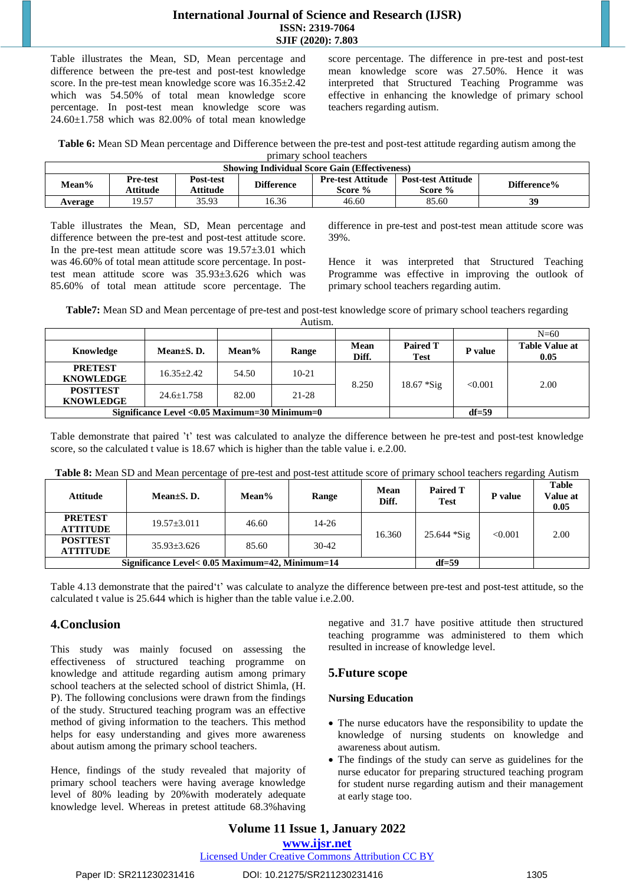### **International Journal of Science and Research (IJSR) ISSN: 2319-7064 SJIF (2020): 7.803**

Table illustrates the Mean, SD, Mean percentage and difference between the pre-test and post-test knowledge score. In the pre-test mean knowledge score was 16.35±2.42 which was 54.50% of total mean knowledge score percentage. In post-test mean knowledge score was 24.60±1.758 which was 82.00% of total mean knowledge

score percentage. The difference in pre-test and post-test mean knowledge score was 27.50%. Hence it was interpreted that Structured Teaching Programme was effective in enhancing the knowledge of primary school teachers regarding autism.

**Table 6:** Mean SD Mean percentage and Difference between the pre-test and post-test attitude regarding autism among the primary school teachers

| <b>Showing Individual Score Gain (Effectiveness)</b> |                      |                       |                   |                                     |                                      |             |  |  |  |
|------------------------------------------------------|----------------------|-----------------------|-------------------|-------------------------------------|--------------------------------------|-------------|--|--|--|
| Mean%                                                | Pre-test<br>Attitude | Post-test<br>Attitude | <b>Difference</b> | <b>Pre-test Attitude</b><br>Score % | <b>Post-test Attitude</b><br>Score % | Difference% |  |  |  |
| Average                                              | 19.57                | 35.93                 | 16.36             | 46.60                               | 85.60                                | 39          |  |  |  |

Table illustrates the Mean, SD, Mean percentage and difference between the pre-test and post-test attitude score. In the pre-test mean attitude score was  $19.57\pm3.01$  which was 46.60% of total mean attitude score percentage. In posttest mean attitude score was 35.93±3.626 which was 85.60% of total mean attitude score percentage. The difference in pre-test and post-test mean attitude score was 39%.

Hence it was interpreted that Structured Teaching Programme was effective in improving the outlook of primary school teachers regarding autim.

**Table7:** Mean SD and Mean percentage of pre-test and post-test knowledge score of primary school teachers regarding Autism.

| .                                   |                                                |       |           |                      |                                |         |                               |  |  |  |
|-------------------------------------|------------------------------------------------|-------|-----------|----------------------|--------------------------------|---------|-------------------------------|--|--|--|
|                                     |                                                |       |           |                      |                                |         | $N=\!\approx\!0$              |  |  |  |
| Knowledge                           | Mean $\pm$ S. D.                               | Mean% | Range     | <b>Mean</b><br>Diff. | <b>Paired T</b><br><b>Test</b> | P value | <b>Table Value at</b><br>0.05 |  |  |  |
| <b>PRETEST</b><br><b>KNOWLEDGE</b>  | $16.35 + 2.42$                                 | 54.50 | $10-21$   |                      |                                | < 0.001 | 2.00                          |  |  |  |
| <b>POSTTEST</b><br><b>KNOWLEDGE</b> | $24.6 + 1.758$                                 | 82.00 | $21 - 28$ | 8.250                | $18.67 * Sig$                  |         |                               |  |  |  |
|                                     | Significance Level < 0.05 Maximum=30 Minimum=0 |       | $df = 59$ |                      |                                |         |                               |  |  |  |

Table demonstrate that paired 't' test was calculated to analyze the difference between he pre-test and post-test knowledge score, so the calculated t value is 18.67 which is higher than the table value i. e.2.00.

| <b>Attitude</b>                    | Mean $\pm$ S. D.                                | Mean%     | Range     | Mean<br>Diff. | <b>Paired T</b><br><b>Test</b> | P value | <b>Table</b><br>Value at<br>0.05 |
|------------------------------------|-------------------------------------------------|-----------|-----------|---------------|--------------------------------|---------|----------------------------------|
| <b>PRETEST</b><br><b>ATTITUDE</b>  | $19.57 + 3.011$                                 | 46.60     | $14 - 26$ |               | $25.644 * Sig$                 |         | 2.00                             |
| <b>POSTTEST</b><br><b>ATTITUDE</b> | $35.93 + 3.626$                                 | 85.60     | $30-42$   | 16.360        |                                | < 0.001 |                                  |
|                                    | Significance Level< 0.05 Maximum=42, Minimum=14 | $df = 59$ |           |               |                                |         |                                  |

**Table 8:** Mean SD and Mean percentage of pre-test and post-test attitude score of primary school teachers regarding Autism

Table 4.13 demonstrate that the paired't' was calculate to analyze the difference between pre-test and post-test attitude, so the calculated t value is 25.644 which is higher than the table value i.e.2.00.

# **4.Conclusion**

This study was mainly focused on assessing the effectiveness of structured teaching programme on knowledge and attitude regarding autism among primary school teachers at the selected school of district Shimla, (H. P). The following conclusions were drawn from the findings of the study. Structured teaching program was an effective method of giving information to the teachers. This method helps for easy understanding and gives more awareness about autism among the primary school teachers.

Hence, findings of the study revealed that majority of primary school teachers were having average knowledge level of 80% leading by 20%with moderately adequate knowledge level. Whereas in pretest attitude 68.3%having negative and 31.7 have positive attitude then structured teaching programme was administered to them which resulted in increase of knowledge level.

# **5.Future scope**

# **Nursing Education**

- The nurse educators have the responsibility to update the knowledge of nursing students on knowledge and awareness about autism.
- The findings of the study can serve as guidelines for the nurse educator for preparing structured teaching program for student nurse regarding autism and their management at early stage too.